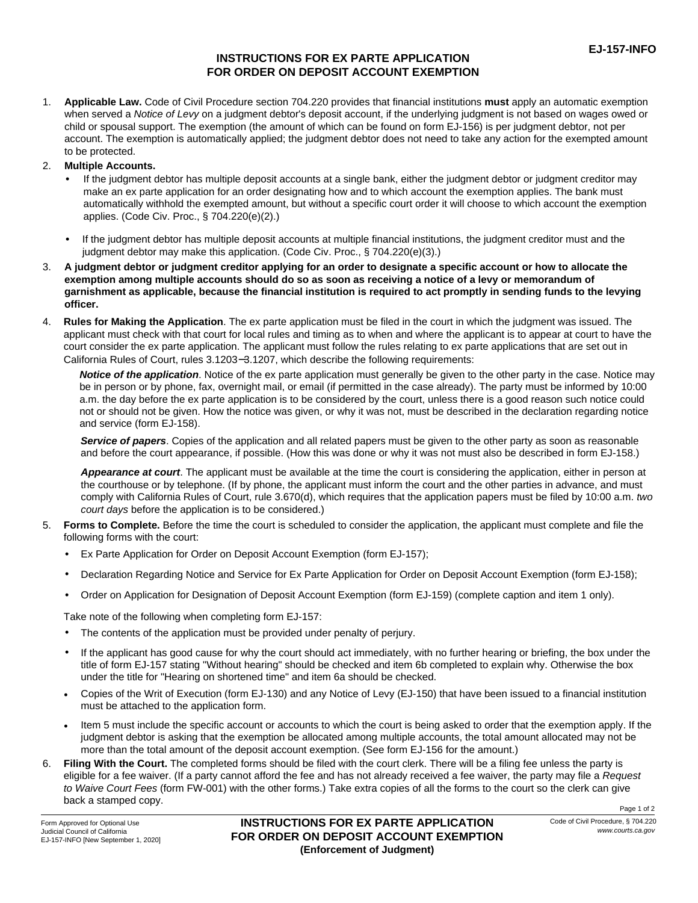## **INSTRUCTIONS FOR EX PARTE APPLICATION FOR ORDER ON DEPOSIT ACCOUNT EXEMPTION**

1. **Applicable Law.** Code of Civil Procedure section 704.220 provides that financial institutions **must** apply an automatic exemption when served a *Notice of Levy* on a judgment debtor's deposit account, if the underlying judgment is not based on wages owed or child or spousal support. The exemption (the amount of which can be found on form EJ-156) is per judgment debtor, not per account. The exemption is automatically applied; the judgment debtor does not need to take any action for the exempted amount to be protected.

## 2. **Multiple Accounts.**

- If the judgment debtor has multiple deposit accounts at a single bank, either the judgment debtor or judgment creditor may make an ex parte application for an order designating how and to which account the exemption applies. The bank must automatically withhold the exempted amount, but without a specific court order it will choose to which account the exemption applies. (Code Civ. Proc., § 704.220(e)(2).) •
- If the judgment debtor has multiple deposit accounts at multiple financial institutions, the judgment creditor must and the judgment debtor may make this application. (Code Civ. Proc., § 704.220(e)(3).)
- **A judgment debtor or judgment creditor applying for an order to designate a specific account or how to allocate the exemption among multiple accounts should do so as soon as receiving a notice of a levy or memorandum of garnishment as applicable, because the financial institution is required to act promptly in sending funds to the levying officer.** 3.
- 4. **Rules for Making the Application**. The ex parte application must be filed in the court in which the judgment was issued. The applicant must check with that court for local rules and timing as to when and where the applicant is to appear at court to have the court consider the ex parte application. The applicant must follow the rules relating to ex parte applications that are set out in California Rules of Court, rules 3.1203−3.1207, which describe the following requirements:

*Notice of the application*. Notice of the ex parte application must generally be given to the other party in the case. Notice may be in person or by phone, fax, overnight mail, or email (if permitted in the case already). The party must be informed by 10:00 a.m. the day before the ex parte application is to be considered by the court, unless there is a good reason such notice could not or should not be given. How the notice was given, or why it was not, must be described in the declaration regarding notice and service (form EJ-158).

*Service of papers*. Copies of the application and all related papers must be given to the other party as soon as reasonable and before the court appearance, if possible. (How this was done or why it was not must also be described in form EJ-158.)

*Appearance at court*. The applicant must be available at the time the court is considering the application, either in person at the courthouse or by telephone. (If by phone, the applicant must inform the court and the other parties in advance, and must comply with California Rules of Court, rule 3.670(d), which requires that the application papers must be filed by 10:00 a.m. *two court days* before the application is to be considered.)

- **Forms to Complete.** Before the time the court is scheduled to consider the application, the applicant must complete and file the 5. following forms with the court:
	- Ex Parte Application for Order on Deposit Account Exemption (form EJ-157); •
	- Declaration Regarding Notice and Service for Ex Parte Application for Order on Deposit Account Exemption (form EJ-158); •
	- Order on Application for Designation of Deposit Account Exemption (form EJ-159) (complete caption and item 1 only). •

Take note of the following when completing form EJ-157:

- The contents of the application must be provided under penalty of perjury. •
- If the applicant has good cause for why the court should act immediately, with no further hearing or briefing, the box under the title of form EJ-157 stating "Without hearing" should be checked and item 6b completed to explain why. Otherwise the box under the title for "Hearing on shortened time" and item 6a should be checked. •
- Copies of the Writ of Execution (form EJ-130) and any Notice of Levy (EJ-150) that have been issued to a financial institution must be attached to the application form. •
- Item 5 must include the specific account or accounts to which the court is being asked to order that the exemption apply. If the judgment debtor is asking that the exemption be allocated among multiple accounts, the total amount allocated may not be more than the total amount of the deposit account exemption. (See form EJ-156 for the amount.) •
- **Filing With the Court.** The completed forms should be filed with the court clerk. There will be a filing fee unless the party is eligible for a fee waiver. (If a party cannot afford the fee and has not already received a fee waiver, the party may file a *Request to Waive Court Fees* (form FW-001) with the other forms.) Take extra copies of all the forms to the court so the clerk can give back a stamped copy. 6.